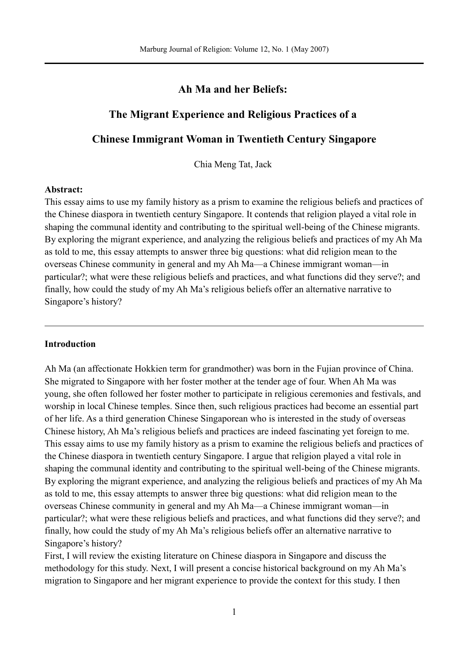## **Ah Ma and her Beliefs:**

## **The Migrant Experience and Religious Practices of a**

# **Chinese Immigrant Woman in Twentieth Century Singapore**

Chia Meng Tat, Jack

#### **Abstract:**

This essay aims to use my family history as a prism to examine the religious beliefs and practices of the Chinese diaspora in twentieth century Singapore. It contends that religion played a vital role in shaping the communal identity and contributing to the spiritual well-being of the Chinese migrants. By exploring the migrant experience, and analyzing the religious beliefs and practices of my Ah Ma as told to me, this essay attempts to answer three big questions: what did religion mean to the overseas Chinese community in general and my Ah Ma—a Chinese immigrant woman—in particular?; what were these religious beliefs and practices, and what functions did they serve?; and finally, how could the study of my Ah Ma's religious beliefs offer an alternative narrative to Singapore's history?

### **Introduction**

Ah Ma (an affectionate Hokkien term for grandmother) was born in the Fujian province of China. She migrated to Singapore with her foster mother at the tender age of four. When Ah Ma was young, she often followed her foster mother to participate in religious ceremonies and festivals, and worship in local Chinese temples. Since then, such religious practices had become an essential part of her life. As a third generation Chinese Singaporean who is interested in the study of overseas Chinese history, Ah Ma's religious beliefs and practices are indeed fascinating yet foreign to me. This essay aims to use my family history as a prism to examine the religious beliefs and practices of the Chinese diaspora in twentieth century Singapore. I argue that religion played a vital role in shaping the communal identity and contributing to the spiritual well-being of the Chinese migrants. By exploring the migrant experience, and analyzing the religious beliefs and practices of my Ah Ma as told to me, this essay attempts to answer three big questions: what did religion mean to the overseas Chinese community in general and my Ah Ma—a Chinese immigrant woman—in particular?; what were these religious beliefs and practices, and what functions did they serve?; and finally, how could the study of my Ah Ma's religious beliefs offer an alternative narrative to Singapore's history?

First, I will review the existing literature on Chinese diaspora in Singapore and discuss the methodology for this study. Next, I will present a concise historical background on my Ah Ma's migration to Singapore and her migrant experience to provide the context for this study. I then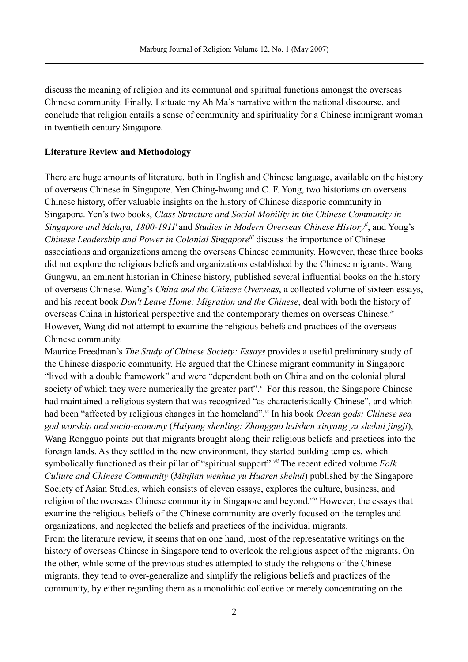discuss the meaning of religion and its communal and spiritual functions amongst the overseas Chinese community. Finally, I situate my Ah Ma's narrative within the national discourse, and conclude that religion entails a sense of community and spirituality for a Chinese immigrant woman in twentieth century Singapore.

### **Literature Review and Methodology**

There are huge amounts of literature, both in English and Chinese language, available on the history of overseas Chinese in Singapore. Yen Ching-hwang and C. F. Yong, two historians on overseas Chinese history, offer valuable insights on the history of Chinese diasporic community in Singapore. Yen's two books, *Class Structure and Social Mobility in the Chinese Community in Singapore and Malaya, 1800-1911 i* and *Studies in Modern Overseas Chinese Historyii*, and Yong's *Chinese Leadership and Power in Colonial Singapore<sup>iii</sup> discuss the importance of Chinese* associations and organizations among the overseas Chinese community. However, these three books did not explore the religious beliefs and organizations established by the Chinese migrants. Wang Gungwu, an eminent historian in Chinese history, published several influential books on the history of overseas Chinese. Wang's *China and the Chinese Overseas*, a collected volume of sixteen essays, and his recent book *Don't Leave Home: Migration and the Chinese*, deal with both the history of overseas China in historical perspective and the contemporary themes on overseas Chinese.*iv* However, Wang did not attempt to examine the religious beliefs and practices of the overseas Chinese community.

Maurice Freedman's *The Study of Chinese Society: Essays* provides a useful preliminary study of the Chinese diasporic community. He argued that the Chinese migrant community in Singapore "lived with a double framework" and were "dependent both on China and on the colonial plural society of which they were numerically the greater part".<sup>*v*</sup> For this reason, the Singapore Chinese had maintained a religious system that was recognized "as characteristically Chinese", and which had been "affected by religious changes in the homeland".*vi* In his book *Ocean gods: Chinese sea god worship and socio-economy* (*Haiyang shenling: Zhongguo haishen xinyang yu shehui jingji*), Wang Rongguo points out that migrants brought along their religious beliefs and practices into the foreign lands. As they settled in the new environment, they started building temples, which symbolically functioned as their pillar of "spiritual support".*vii* The recent edited volume *Folk Culture and Chinese Community* (*Minjian wenhua yu Huaren shehui*) published by the Singapore Society of Asian Studies, which consists of eleven essays, explores the culture, business, and religion of the overseas Chinese community in Singapore and beyond.*viii* However, the essays that examine the religious beliefs of the Chinese community are overly focused on the temples and organizations, and neglected the beliefs and practices of the individual migrants.

From the literature review, it seems that on one hand, most of the representative writings on the history of overseas Chinese in Singapore tend to overlook the religious aspect of the migrants. On the other, while some of the previous studies attempted to study the religions of the Chinese migrants, they tend to over-generalize and simplify the religious beliefs and practices of the community, by either regarding them as a monolithic collective or merely concentrating on the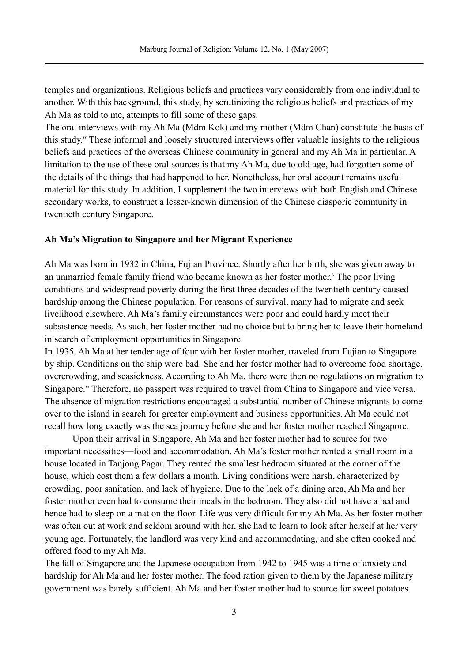temples and organizations. Religious beliefs and practices vary considerably from one individual to another. With this background, this study, by scrutinizing the religious beliefs and practices of my Ah Ma as told to me, attempts to fill some of these gaps.

The oral interviews with my Ah Ma (Mdm Kok) and my mother (Mdm Chan) constitute the basis of this study. *ix* These informal and loosely structured interviews offer valuable insights to the religious beliefs and practices of the overseas Chinese community in general and my Ah Ma in particular. A limitation to the use of these oral sources is that my Ah Ma, due to old age, had forgotten some of the details of the things that had happened to her. Nonetheless, her oral account remains useful material for this study. In addition, I supplement the two interviews with both English and Chinese secondary works, to construct a lesser-known dimension of the Chinese diasporic community in twentieth century Singapore.

#### **Ah Ma's Migration to Singapore and her Migrant Experience**

Ah Ma was born in 1932 in China, Fujian Province. Shortly after her birth, she was given away to an unmarried female family friend who became known as her foster mother. *<sup>x</sup>* The poor living conditions and widespread poverty during the first three decades of the twentieth century caused hardship among the Chinese population. For reasons of survival, many had to migrate and seek livelihood elsewhere. Ah Ma's family circumstances were poor and could hardly meet their subsistence needs. As such, her foster mother had no choice but to bring her to leave their homeland in search of employment opportunities in Singapore.

In 1935, Ah Ma at her tender age of four with her foster mother, traveled from Fujian to Singapore by ship. Conditions on the ship were bad. She and her foster mother had to overcome food shortage, overcrowding, and seasickness. According to Ah Ma, there were then no regulations on migration to Singapore.<sup>*xi*</sup> Therefore, no passport was required to travel from China to Singapore and vice versa. The absence of migration restrictions encouraged a substantial number of Chinese migrants to come over to the island in search for greater employment and business opportunities. Ah Ma could not recall how long exactly was the sea journey before she and her foster mother reached Singapore.

Upon their arrival in Singapore, Ah Ma and her foster mother had to source for two important necessities—food and accommodation. Ah Ma's foster mother rented a small room in a house located in Tanjong Pagar. They rented the smallest bedroom situated at the corner of the house, which cost them a few dollars a month. Living conditions were harsh, characterized by crowding, poor sanitation, and lack of hygiene. Due to the lack of a dining area, Ah Ma and her foster mother even had to consume their meals in the bedroom. They also did not have a bed and hence had to sleep on a mat on the floor. Life was very difficult for my Ah Ma. As her foster mother was often out at work and seldom around with her, she had to learn to look after herself at her very young age. Fortunately, the landlord was very kind and accommodating, and she often cooked and offered food to my Ah Ma.

The fall of Singapore and the Japanese occupation from 1942 to 1945 was a time of anxiety and hardship for Ah Ma and her foster mother. The food ration given to them by the Japanese military government was barely sufficient. Ah Ma and her foster mother had to source for sweet potatoes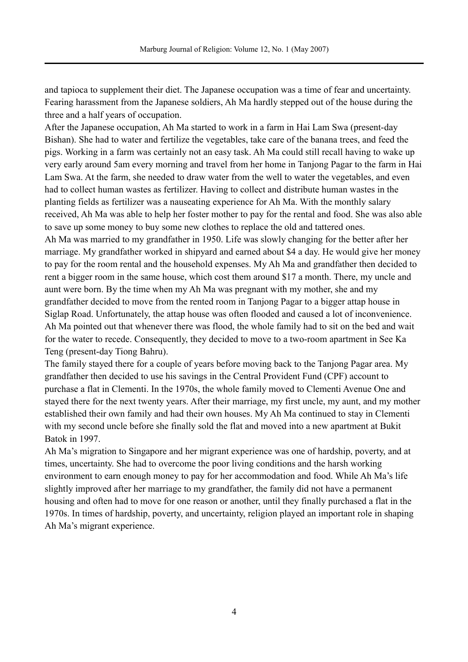and tapioca to supplement their diet. The Japanese occupation was a time of fear and uncertainty. Fearing harassment from the Japanese soldiers, Ah Ma hardly stepped out of the house during the three and a half years of occupation.

After the Japanese occupation, Ah Ma started to work in a farm in Hai Lam Swa (present-day Bishan). She had to water and fertilize the vegetables, take care of the banana trees, and feed the pigs. Working in a farm was certainly not an easy task. Ah Ma could still recall having to wake up very early around 5am every morning and travel from her home in Tanjong Pagar to the farm in Hai Lam Swa. At the farm, she needed to draw water from the well to water the vegetables, and even had to collect human wastes as fertilizer. Having to collect and distribute human wastes in the planting fields as fertilizer was a nauseating experience for Ah Ma. With the monthly salary received, Ah Ma was able to help her foster mother to pay for the rental and food. She was also able to save up some money to buy some new clothes to replace the old and tattered ones. Ah Ma was married to my grandfather in 1950. Life was slowly changing for the better after her marriage. My grandfather worked in shipyard and earned about \$4 a day. He would give her money to pay for the room rental and the household expenses. My Ah Ma and grandfather then decided to rent a bigger room in the same house, which cost them around \$17 a month. There, my uncle and aunt were born. By the time when my Ah Ma was pregnant with my mother, she and my grandfather decided to move from the rented room in Tanjong Pagar to a bigger attap house in Siglap Road. Unfortunately, the attap house was often flooded and caused a lot of inconvenience. Ah Ma pointed out that whenever there was flood, the whole family had to sit on the bed and wait for the water to recede. Consequently, they decided to move to a two-room apartment in See Ka Teng (present-day Tiong Bahru).

The family stayed there for a couple of years before moving back to the Tanjong Pagar area. My grandfather then decided to use his savings in the Central Provident Fund (CPF) account to purchase a flat in Clementi. In the 1970s, the whole family moved to Clementi Avenue One and stayed there for the next twenty years. After their marriage, my first uncle, my aunt, and my mother established their own family and had their own houses. My Ah Ma continued to stay in Clementi with my second uncle before she finally sold the flat and moved into a new apartment at Bukit Batok in 1997.

Ah Ma's migration to Singapore and her migrant experience was one of hardship, poverty, and at times, uncertainty. She had to overcome the poor living conditions and the harsh working environment to earn enough money to pay for her accommodation and food. While Ah Ma's life slightly improved after her marriage to my grandfather, the family did not have a permanent housing and often had to move for one reason or another, until they finally purchased a flat in the 1970s. In times of hardship, poverty, and uncertainty, religion played an important role in shaping Ah Ma's migrant experience.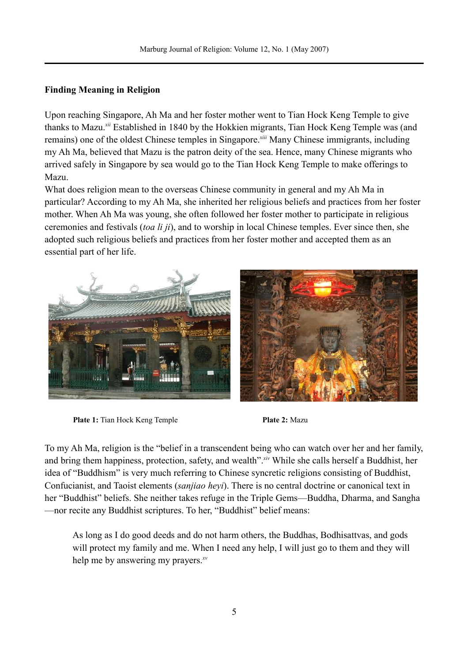# **Finding Meaning in Religion**

Upon reaching Singapore, Ah Ma and her foster mother went to Tian Hock Keng Temple to give thanks to Mazu.*xii* Established in 1840 by the Hokkien migrants, Tian Hock Keng Temple was (and remains) one of the oldest Chinese temples in Singapore.*xiii* Many Chinese immigrants, including my Ah Ma, believed that Mazu is the patron deity of the sea. Hence, many Chinese migrants who arrived safely in Singapore by sea would go to the Tian Hock Keng Temple to make offerings to Mazu.

What does religion mean to the overseas Chinese community in general and my Ah Ma in particular? According to my Ah Ma, she inherited her religious beliefs and practices from her foster mother. When Ah Ma was young, she often followed her foster mother to participate in religious ceremonies and festivals (*toa li ji*), and to worship in local Chinese temples. Ever since then, she adopted such religious beliefs and practices from her foster mother and accepted them as an essential part of her life.



**Plate 1:** Tian Hock Keng Temple **Plate 2:** Mazu

To my Ah Ma, religion is the "belief in a transcendent being who can watch over her and her family, and bring them happiness, protection, safety, and wealth".*xiv* While she calls herself a Buddhist, her idea of "Buddhism" is very much referring to Chinese syncretic religions consisting of Buddhist, Confucianist, and Taoist elements (*sanjiao heyi*). There is no central doctrine or canonical text in her "Buddhist" beliefs. She neither takes refuge in the Triple Gems—Buddha, Dharma, and Sangha —nor recite any Buddhist scriptures. To her, "Buddhist" belief means:

As long as I do good deeds and do not harm others, the Buddhas, Bodhisattvas, and gods will protect my family and me. When I need any help, I will just go to them and they will help me by answering my prayers.*xv*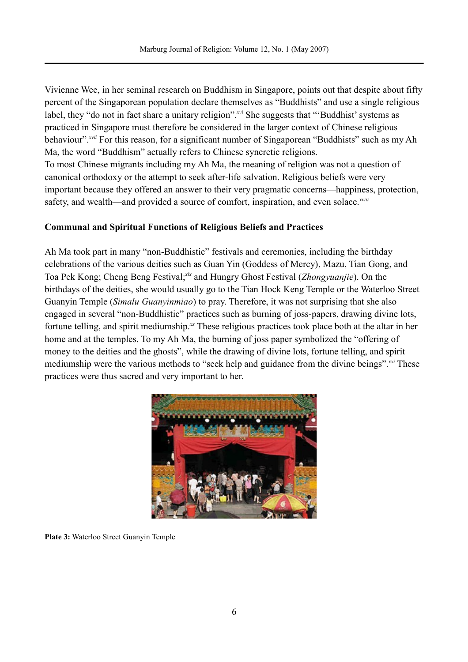Vivienne Wee, in her seminal research on Buddhism in Singapore, points out that despite about fifty percent of the Singaporean population declare themselves as "Buddhists" and use a single religious label, they "do not in fact share a unitary religion".<sup>*xvi*</sup> She suggests that "'Buddhist' systems as practiced in Singapore must therefore be considered in the larger context of Chinese religious behaviour".<sup>*xvii*</sup> For this reason, for a significant number of Singaporean "Buddhists" such as my Ah Ma, the word "Buddhism" actually refers to Chinese syncretic religions. To most Chinese migrants including my Ah Ma, the meaning of religion was not a question of canonical orthodoxy or the attempt to seek after-life salvation. Religious beliefs were very important because they offered an answer to their very pragmatic concerns—happiness, protection, safety, and wealth—and provided a source of comfort, inspiration, and even solace.*xviii*

# **Communal and Spiritual Functions of Religious Beliefs and Practices**

Ah Ma took part in many "non-Buddhistic" festivals and ceremonies, including the birthday celebrations of the various deities such as Guan Yin (Goddess of Mercy), Mazu, Tian Gong, and Toa Pek Kong; Cheng Beng Festival;<sup>xix</sup> and Hungry Ghost Festival (*Zhongyuanjie*). On the birthdays of the deities, she would usually go to the Tian Hock Keng Temple or the Waterloo Street Guanyin Temple (*Simalu Guanyinmiao*) to pray. Therefore, it was not surprising that she also engaged in several "non-Buddhistic" practices such as burning of joss-papers, drawing divine lots, fortune telling, and spirit mediumship.<sup> $x$ </sup> These religious practices took place both at the altar in her home and at the temples. To my Ah Ma, the burning of joss paper symbolized the "offering of money to the deities and the ghosts", while the drawing of divine lots, fortune telling, and spirit mediumship were the various methods to "seek help and guidance from the divine beings".*xxi* These practices were thus sacred and very important to her.



**Plate 3:** Waterloo Street Guanyin Temple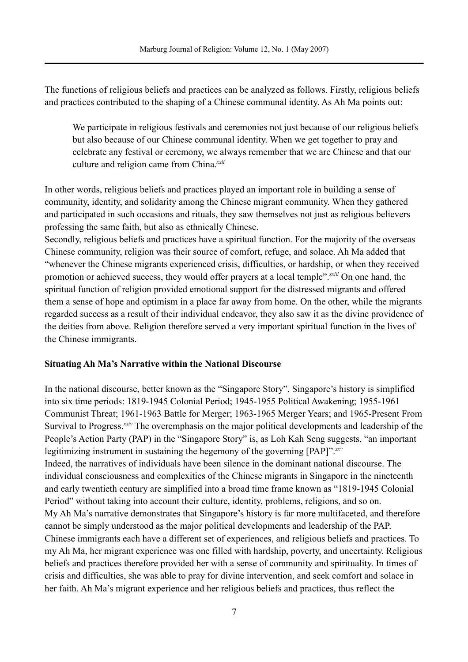The functions of religious beliefs and practices can be analyzed as follows. Firstly, religious beliefs and practices contributed to the shaping of a Chinese communal identity. As Ah Ma points out:

We participate in religious festivals and ceremonies not just because of our religious beliefs but also because of our Chinese communal identity. When we get together to pray and celebrate any festival or ceremony, we always remember that we are Chinese and that our culture and religion came from China.*xxii*

In other words, religious beliefs and practices played an important role in building a sense of community, identity, and solidarity among the Chinese migrant community. When they gathered and participated in such occasions and rituals, they saw themselves not just as religious believers professing the same faith, but also as ethnically Chinese.

Secondly, religious beliefs and practices have a spiritual function. For the majority of the overseas Chinese community, religion was their source of comfort, refuge, and solace. Ah Ma added that "whenever the Chinese migrants experienced crisis, difficulties, or hardship, or when they received promotion or achieved success, they would offer prayers at a local temple".*xxiii* On one hand, the spiritual function of religion provided emotional support for the distressed migrants and offered them a sense of hope and optimism in a place far away from home. On the other, while the migrants regarded success as a result of their individual endeavor, they also saw it as the divine providence of the deities from above. Religion therefore served a very important spiritual function in the lives of the Chinese immigrants.

#### **Situating Ah Ma's Narrative within the National Discourse**

In the national discourse, better known as the "Singapore Story", Singapore's history is simplified into six time periods: 1819-1945 Colonial Period; 1945-1955 Political Awakening; 1955-1961 Communist Threat; 1961-1963 Battle for Merger; 1963-1965 Merger Years; and 1965-Present From Survival to Progress.<sup>*xxiv*</sup> The overemphasis on the major political developments and leadership of the People's Action Party (PAP) in the "Singapore Story" is, as Loh Kah Seng suggests, "an important legitimizing instrument in sustaining the hegemony of the governing [PAP]".*xxv* Indeed, the narratives of individuals have been silence in the dominant national discourse. The individual consciousness and complexities of the Chinese migrants in Singapore in the nineteenth and early twentieth century are simplified into a broad time frame known as "1819-1945 Colonial Period" without taking into account their culture, identity, problems, religions, and so on. My Ah Ma's narrative demonstrates that Singapore's history is far more multifaceted, and therefore cannot be simply understood as the major political developments and leadership of the PAP. Chinese immigrants each have a different set of experiences, and religious beliefs and practices. To my Ah Ma, her migrant experience was one filled with hardship, poverty, and uncertainty. Religious beliefs and practices therefore provided her with a sense of community and spirituality. In times of crisis and difficulties, she was able to pray for divine intervention, and seek comfort and solace in her faith. Ah Ma's migrant experience and her religious beliefs and practices, thus reflect the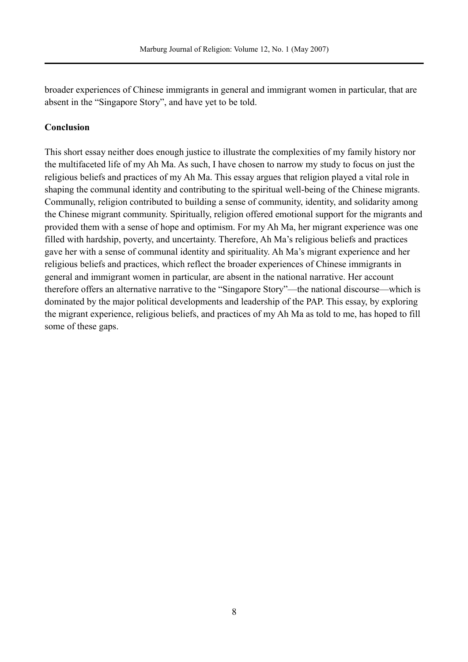broader experiences of Chinese immigrants in general and immigrant women in particular, that are absent in the "Singapore Story", and have yet to be told.

## **Conclusion**

This short essay neither does enough justice to illustrate the complexities of my family history nor the multifaceted life of my Ah Ma. As such, I have chosen to narrow my study to focus on just the religious beliefs and practices of my Ah Ma. This essay argues that religion played a vital role in shaping the communal identity and contributing to the spiritual well-being of the Chinese migrants. Communally, religion contributed to building a sense of community, identity, and solidarity among the Chinese migrant community. Spiritually, religion offered emotional support for the migrants and provided them with a sense of hope and optimism. For my Ah Ma, her migrant experience was one filled with hardship, poverty, and uncertainty. Therefore, Ah Ma's religious beliefs and practices gave her with a sense of communal identity and spirituality. Ah Ma's migrant experience and her religious beliefs and practices, which reflect the broader experiences of Chinese immigrants in general and immigrant women in particular, are absent in the national narrative. Her account therefore offers an alternative narrative to the "Singapore Story"—the national discourse—which is dominated by the major political developments and leadership of the PAP. This essay, by exploring the migrant experience, religious beliefs, and practices of my Ah Ma as told to me, has hoped to fill some of these gaps.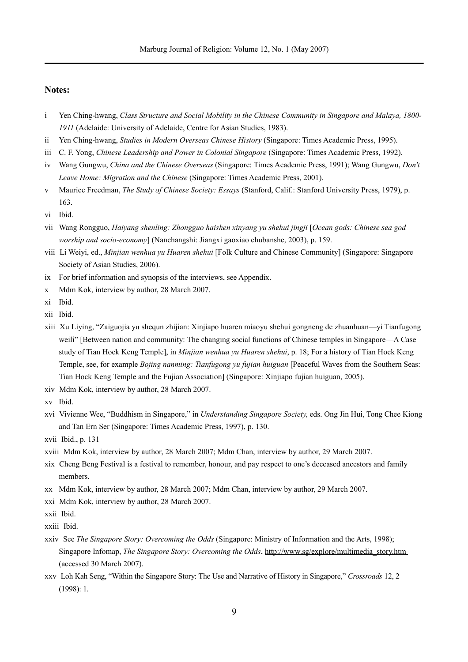#### **Notes:**

- i Yen Ching-hwang, *Class Structure and Social Mobility in the Chinese Community in Singapore and Malaya, 1800- 1911* (Adelaide: University of Adelaide, Centre for Asian Studies, 1983).
- ii Yen Ching-hwang, *Studies in Modern Overseas Chinese History* (Singapore: Times Academic Press, 1995).
- iii C. F. Yong, *Chinese Leadership and Power in Colonial Singapore* (Singapore: Times Academic Press, 1992).
- iv Wang Gungwu, *China and the Chinese Overseas* (Singapore: Times Academic Press, 1991); Wang Gungwu, *Don't Leave Home: Migration and the Chinese* (Singapore: Times Academic Press, 2001).
- v Maurice Freedman, *The Study of Chinese Society: Essays* (Stanford, Calif.: Stanford University Press, 1979), p. 163.
- vi Ibid.
- vii Wang Rongguo, *Haiyang shenling: Zhongguo haishen xinyang yu shehui jingji* [*Ocean gods: Chinese sea god worship and socio-economy*] (Nanchangshi: Jiangxi gaoxiao chubanshe, 2003), p. 159.
- viii Li Weiyi, ed., *Minjian wenhua yu Huaren shehui* [Folk Culture and Chinese Community] (Singapore: Singapore Society of Asian Studies, 2006).
- ix For brief information and synopsis of the interviews, see Appendix.
- x Mdm Kok, interview by author, 28 March 2007.
- xi Ibid.
- xii Ibid.
- xiii Xu Liying, "Zaiguojia yu shequn zhijian: Xinjiapo huaren miaoyu shehui gongneng de zhuanhuan—yi Tianfugong weili" [Between nation and community: The changing social functions of Chinese temples in Singapore—A Case study of Tian Hock Keng Temple], in *Minjian wenhua yu Huaren shehui*, p. 18; For a history of Tian Hock Keng Temple, see, for example *Bojing nanming: Tianfugong yu fujian huiguan* [Peaceful Waves from the Southern Seas: Tian Hock Keng Temple and the Fujian Association] (Singapore: Xinjiapo fujian huiguan, 2005).
- xiv Mdm Kok, interview by author, 28 March 2007.
- xv Ibid.
- xvi Vivienne Wee, "Buddhism in Singapore," in *Understanding Singapore Society*, eds. Ong Jin Hui, Tong Chee Kiong and Tan Ern Ser (Singapore: Times Academic Press, 1997), p. 130.
- xvii Ibid., p. 131
- xviii Mdm Kok, interview by author, 28 March 2007; Mdm Chan, interview by author, 29 March 2007.
- xix Cheng Beng Festival is a festival to remember, honour, and pay respect to one's deceased ancestors and family members.
- xx Mdm Kok, interview by author, 28 March 2007; Mdm Chan, interview by author, 29 March 2007.
- xxi Mdm Kok, interview by author, 28 March 2007.
- xxii Ibid.
- xxiii Ibid.
- xxiv See *The Singapore Story: Overcoming the Odds* (Singapore: Ministry of Information and the Arts, 1998); Singapore Infomap, *The Singapore Story: Overcoming the Odds*, [http://www.sg/explore/multimedia\\_story.htm](http://www.sg/explore/multimedia_story.htm) (accessed 30 March 2007).
- xxv Loh Kah Seng, "Within the Singapore Story: The Use and Narrative of History in Singapore," *Crossroads* 12, 2 (1998): 1.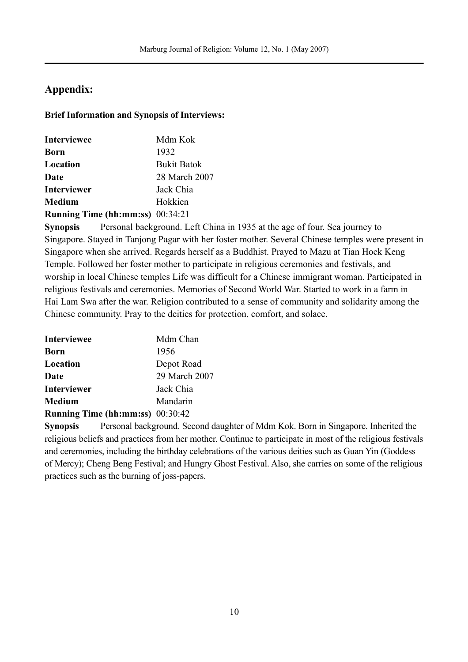# **Appendix:**

# **Brief Information and Synopsis of Interviews:**

| <b>Interviewee</b>               | Mdm Kok            |
|----------------------------------|--------------------|
| Born                             | 1932               |
| Location                         | <b>Bukit Batok</b> |
| Date                             | 28 March 2007      |
| <b>Interviewer</b>               | Jack Chia          |
| <b>Medium</b>                    | Hokkien            |
| Running Time (hh:mm:ss) 00:34:21 |                    |

**Synopsis** Personal background. Left China in 1935 at the age of four. Sea journey to Singapore. Stayed in Tanjong Pagar with her foster mother. Several Chinese temples were present in Singapore when she arrived. Regards herself as a Buddhist. Prayed to Mazu at Tian Hock Keng Temple. Followed her foster mother to participate in religious ceremonies and festivals, and worship in local Chinese temples Life was difficult for a Chinese immigrant woman. Participated in religious festivals and ceremonies. Memories of Second World War. Started to work in a farm in Hai Lam Swa after the war. Religion contributed to a sense of community and solidarity among the Chinese community. Pray to the deities for protection, comfort, and solace.

| <b>Interviewee</b>                      | Mdm Chan      |
|-----------------------------------------|---------------|
| <b>Born</b>                             | 1956          |
| Location                                | Depot Road    |
| Date                                    | 29 March 2007 |
| <b>Interviewer</b>                      | Jack Chia     |
| <b>Medium</b>                           | Mandarin      |
| <b>Running Time (hh:mm:ss)</b> 00:30:42 |               |

**Synopsis** Personal background. Second daughter of Mdm Kok. Born in Singapore. Inherited the religious beliefs and practices from her mother. Continue to participate in most of the religious festivals and ceremonies, including the birthday celebrations of the various deities such as Guan Yin (Goddess of Mercy); Cheng Beng Festival; and Hungry Ghost Festival. Also, she carries on some of the religious practices such as the burning of joss-papers.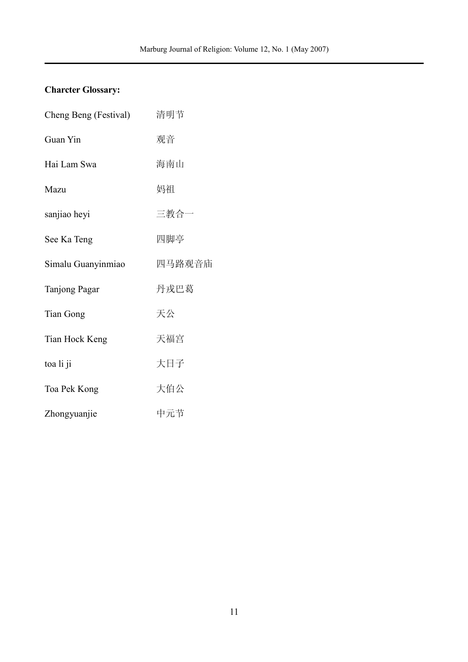# **Charcter Glossary:**

| Cheng Beng (Festival) | 清明节    |
|-----------------------|--------|
| Guan Yin              | 观音     |
| Hai Lam Swa           | 海南山    |
| Mazu                  | 妈祖     |
| sanjiao heyi          | 三教合一   |
| See Ka Teng           | 四脚亭    |
| Simalu Guanyinmiao    | 四马路观音庙 |
| Tanjong Pagar         | 丹戎巴葛   |
| <b>Tian Gong</b>      | 天公     |
| Tian Hock Keng        | 天福宫    |
| toa li ji             | 大日子    |
| Toa Pek Kong          | 大伯公    |
| Zhongyuanjie          | 中元节    |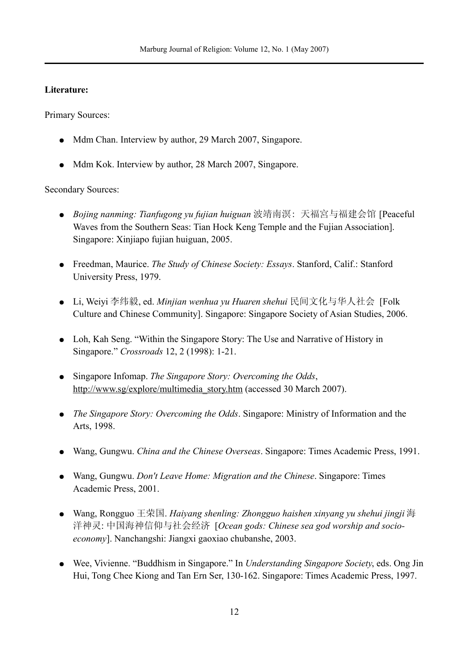## **Literature:**

Primary Sources:

- Mdm Chan. Interview by author, 29 March 2007, Singapore.
- Mdm Kok. Interview by author, 28 March 2007, Singapore.

# Secondary Sources:

- *Bojing nanming: Tianfugong yu fujian huiguan* 波靖南溟: 天福宮与福建会馆 [Peaceful Waves from the Southern Seas: Tian Hock Keng Temple and the Fujian Association]. Singapore: Xinjiapo fujian huiguan, 2005.
- Freedman, Maurice. *The Study of Chinese Society: Essays*. Stanford, Calif.: Stanford University Press, 1979.
- Li, Weiyi 李纬毅, ed. *Minjian wenhua yu Huaren shehui* 民间文化与华人社会 [Folk Culture and Chinese Community]. Singapore: Singapore Society of Asian Studies, 2006.
- Loh, Kah Seng. "Within the Singapore Story: The Use and Narrative of History in Singapore." *Crossroads* 12, 2 (1998): 1-21.
- Singapore Infomap. *The Singapore Story: Overcoming the Odds*, [http://www.sg/explore/multimedia\\_story.htm](http://www.sg/explore/multimedia_story.htm) (accessed 30 March 2007).
- *The Singapore Story: Overcoming the Odds*. Singapore: Ministry of Information and the Arts, 1998.
- Wang, Gungwu. *China and the Chinese Overseas*. Singapore: Times Academic Press, 1991.
- Wang, Gungwu. *Don't Leave Home: Migration and the Chinese*. Singapore: Times Academic Press, 2001.
- Wang, Rongguo 王荣国. *Haiyang shenling: Zhongguo haishen xinyang yu shehui jingji* 海 洋神灵: 中国海神信仰与社会经济 [*Ocean gods: Chinese sea god worship and socioeconomy*]. Nanchangshi: Jiangxi gaoxiao chubanshe, 2003.
- Wee, Vivienne. "Buddhism in Singapore." In *Understanding Singapore Society*, eds. Ong Jin Hui, Tong Chee Kiong and Tan Ern Ser, 130-162. Singapore: Times Academic Press, 1997.